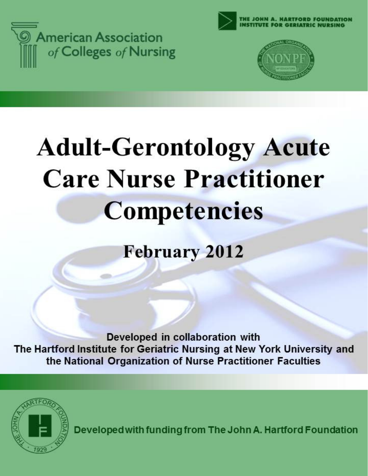





# **Adult-Gerontology Acute Care Nurse Practitioner Competencies**

**February 2012** 

Developed in collaboration with The Hartford Institute for Geriatric Nursing at New York University and the National Organization of Nurse Practitioner Faculties



Developed with funding from The John A. Hartford Foundation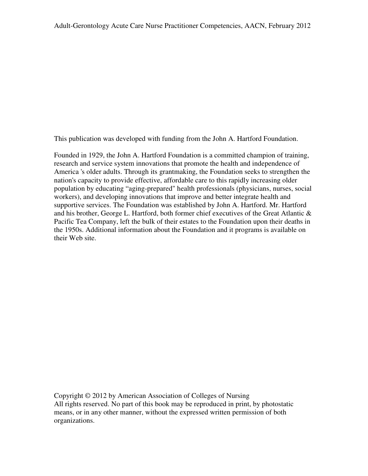This publication was developed with funding from the John A. Hartford Foundation.

Founded in 1929, the John A. Hartford Foundation is a committed champion of training, research and service system innovations that promote the health and independence of America 's older adults. Through its grantmaking, the Foundation seeks to strengthen the nation's capacity to provide effective, affordable care to this rapidly increasing older population by educating "aging-prepared" health professionals (physicians, nurses, social workers), and developing innovations that improve and better integrate health and supportive services. The Foundation was established by John A. Hartford. Mr. Hartford and his brother, George L. Hartford, both former chief executives of the Great Atlantic & Pacific Tea Company, left the bulk of their estates to the Foundation upon their deaths in the 1950s. Additional information about the Foundation and it programs is available on their Web site.

Copyright © 2012 by American Association of Colleges of Nursing All rights reserved. No part of this book may be reproduced in print, by photostatic means, or in any other manner, without the expressed written permission of both organizations.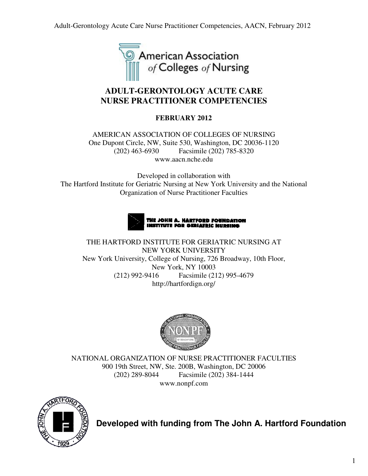

# **ADULT-GERONTOLOGY ACUTE CARE NURSE PRACTITIONER COMPETENCIES**

# **FEBRUARY 2012**

AMERICAN ASSOCIATION OF COLLEGES OF NURSING One Dupont Circle, NW, Suite 530, Washington, DC 20036-1120 (202) 463-6930 Facsimile (202) 785-8320 www.aacn.nche.edu

Developed in collaboration with The Hartford Institute for Geriatric Nursing at New York University and the National Organization of Nurse Practitioner Faculties



THE HARTFORD INSTITUTE FOR GERIATRIC NURSING AT NEW YORK UNIVERSITY New York University, College of Nursing, 726 Broadway, 10th Floor, New York, NY 10003 (212) 992-9416 Facsimile (212) 995-4679 http://hartfordign.org/



NATIONAL ORGANIZATION OF NURSE PRACTITIONER FACULTIES 900 19th Street, NW, Ste. 200B, Washington, DC 20006 (202) 289-8044 Facsimile (202) 384-1444 www.nonpf.com



**Developed with funding from The John A. Hartford Foundation**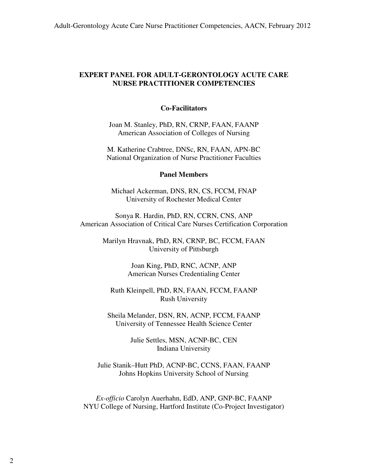#### **EXPERT PANEL FOR ADULT-GERONTOLOGY ACUTE CARE NURSE PRACTITIONER COMPETENCIES**

#### **Co-Facilitators**

Joan M. Stanley, PhD, RN, CRNP, FAAN, FAANP American Association of Colleges of Nursing

M. Katherine Crabtree, DNSc, RN, FAAN, APN-BC National Organization of Nurse Practitioner Faculties

#### **Panel Members**

Michael Ackerman, DNS, RN, CS, FCCM, FNAP University of Rochester Medical Center

Sonya R. Hardin, PhD, RN, CCRN, CNS, ANP American Association of Critical Care Nurses Certification Corporation

> Marilyn Hravnak, PhD, RN, CRNP, BC, FCCM, FAAN University of Pittsburgh

> > Joan King, PhD, RNC, ACNP, ANP American Nurses Credentialing Center

Ruth Kleinpell, PhD, RN, FAAN, FCCM, FAANP Rush University

Sheila Melander, DSN, RN, ACNP, FCCM, FAANP University of Tennessee Health Science Center

> Julie Settles, MSN, ACNP-BC, CEN Indiana University

Julie Stanik–Hutt PhD, ACNP-BC, CCNS, FAAN, FAANP Johns Hopkins University School of Nursing

*Ex-officio* Carolyn Auerhahn, EdD, ANP, GNP-BC, FAANP NYU College of Nursing, Hartford Institute (Co-Project Investigator)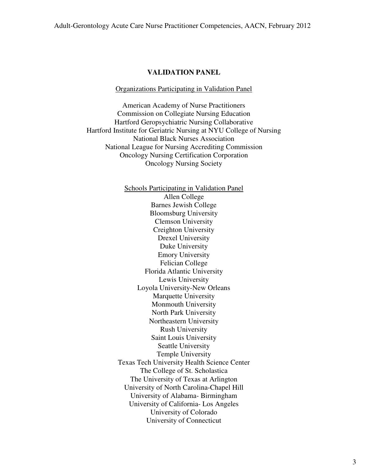#### **VALIDATION PANEL**

#### Organizations Participating in Validation Panel

American Academy of Nurse Practitioners Commission on Collegiate Nursing Education Hartford Geropsychiatric Nursing Collaborative Hartford Institute for Geriatric Nursing at NYU College of Nursing National Black Nurses Association National League for Nursing Accrediting Commission Oncology Nursing Certification Corporation Oncology Nursing Society

> Schools Participating in Validation Panel Allen College Barnes Jewish College Bloomsburg University Clemson University Creighton University Drexel University Duke University Emory University Felician College Florida Atlantic University Lewis University Loyola University-New Orleans Marquette University Monmouth University North Park University Northeastern University Rush University Saint Louis University Seattle University Temple University Texas Tech University Health Science Center The College of St. Scholastica The University of Texas at Arlington University of North Carolina-Chapel Hill University of Alabama- Birmingham University of California- Los Angeles University of Colorado University of Connecticut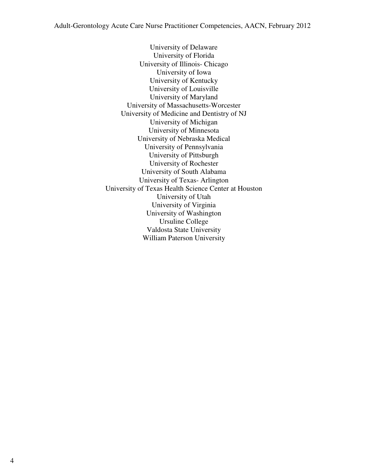University of Delaware University of Florida University of Illinois- Chicago University of Iowa University of Kentucky University of Louisville University of Maryland University of Massachusetts-Worcester University of Medicine and Dentistry of NJ University of Michigan University of Minnesota University of Nebraska Medical University of Pennsylvania University of Pittsburgh University of Rochester University of South Alabama University of Texas- Arlington University of Texas Health Science Center at Houston University of Utah University of Virginia University of Washington Ursuline College Valdosta State University William Paterson University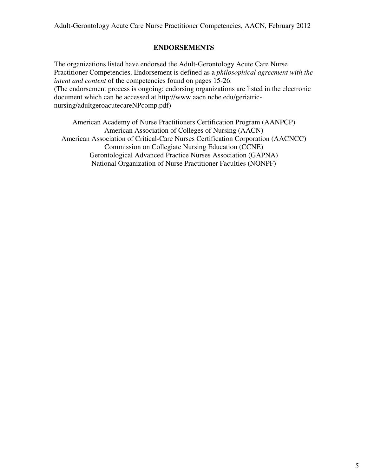## **ENDORSEMENTS**

The organizations listed have endorsed the Adult-Gerontology Acute Care Nurse Practitioner Competencies. Endorsement is defined as a *philosophical agreement with the intent and content* of the competencies found on pages 15-26. (The endorsement process is ongoing; endorsing organizations are listed in the electronic document which can be accessed at http://www.aacn.nche.edu/geriatricnursing/adultgeroacutecareNPcomp.pdf)

American Academy of Nurse Practitioners Certification Program (AANPCP) American Association of Colleges of Nursing (AACN) American Association of Critical-Care Nurses Certification Corporation (AACNCC) Commission on Collegiate Nursing Education (CCNE) Gerontological Advanced Practice Nurses Association (GAPNA) National Organization of Nurse Practitioner Faculties (NONPF)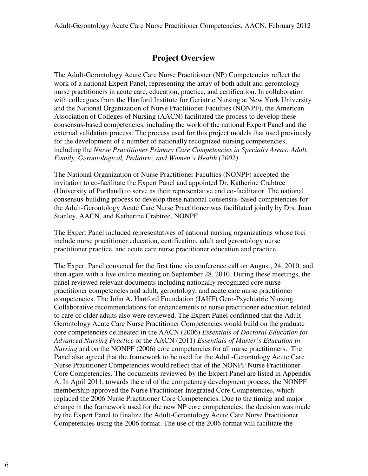# **Project Overview**

The Adult-Gerontology Acute Care Nurse Practitioner (NP) Competencies reflect the work of a national Expert Panel, representing the array of both adult and gerontology nurse practitioners in acute care, education, practice, and certification. In collaboration with colleagues from the Hartford Institute for Geriatric Nursing at New York University and the National Organization of Nurse Practitioner Faculties (NONPF), the American Association of Colleges of Nursing (AACN) facilitated the process to develop these consensus-based competencies, including the work of the national Expert Panel and the external validation process. The process used for this project models that used previously for the development of a number of nationally recognized nursing competencies, including the *Nurse Practitioner Primary Care Competencies in Specialty Areas: Adult, Family, Gerontological, Pediatric, and Women's Health (2002)*.

The National Organization of Nurse Practitioner Faculties (NONPF) accepted the invitation to co-facilitate the Expert Panel and appointed Dr. Katherine Crabtree (University of Portland) to serve as their representative and co-facilitator. The national consensus-building process to develop these national consensus-based competencies for the Adult-Gerontology Acute Care Nurse Practitioner was facilitated jointly by Drs. Joan Stanley, AACN, and Katherine Crabtree, NONPF.

The Expert Panel included representatives of national nursing organizations whose foci include nurse practitioner education, certification, adult and gerontology nurse practitioner practice, and acute care nurse practitioner education and practice.

The Expert Panel convened for the first time via conference call on August, 24, 2010, and then again with a live online meeting on September 28, 2010. During these meetings, the panel reviewed relevant documents including nationally recognized core nurse practitioner competencies and adult, gerontology, and acute care nurse practitioner competencies. The John A. Hartford Foundation (JAHF) Gero-Psychiatric Nursing Collaborative recommendations for enhancements to nurse practitioner education related to care of older adults also were reviewed. The Expert Panel confirmed that the Adult-Gerontology Acute Care Nurse Practitioner Competencies would build on the graduate core competencies delineated in the AACN (2006) *Essentials of Doctoral Education for Advanced Nursing Practice* or the AACN (2011) *Essentials of Master's Education in Nursing* and on the NONPF (2006) core competencies for all nurse practitioners. The Panel also agreed that the framework to be used for the Adult-Gerontology Acute Care Nurse Practitioner Competencies would reflect that of the NONPF Nurse Practitioner Core Competencies. The documents reviewed by the Expert Panel are listed in Appendix A. In April 2011, towards the end of the competency development process, the NONPF membership approved the Nurse Practitioner Integrated Core Competencies, which replaced the 2006 Nurse Practitioner Core Competencies. Due to the timing and major change in the framework used for the new NP core competencies, the decision was made by the Expert Panel to finalize the Adult-Gerontology Acute Care Nurse Practitioner Competencies using the 2006 format. The use of the 2006 format will facilitate the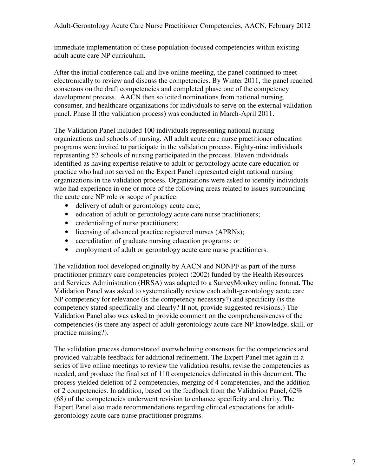immediate implementation of these population-focused competencies within existing adult acute care NP curriculum.

After the initial conference call and live online meeting, the panel continued to meet electronically to review and discuss the competencies. By Winter 2011, the panel reached consensus on the draft competencies and completed phase one of the competency development process. AACN then solicited nominations from national nursing, consumer, and healthcare organizations for individuals to serve on the external validation panel. Phase II (the validation process) was conducted in March-April 2011.

The Validation Panel included 100 individuals representing national nursing organizations and schools of nursing. All adult acute care nurse practitioner education programs were invited to participate in the validation process. Eighty-nine individuals representing 52 schools of nursing participated in the process. Eleven individuals identified as having expertise relative to adult or gerontology acute care education or practice who had not served on the Expert Panel represented eight national nursing organizations in the validation process. Organizations were asked to identify individuals who had experience in one or more of the following areas related to issues surrounding the acute care NP role or scope of practice:

- delivery of adult or gerontology acute care;
- education of adult or gerontology acute care nurse practitioners;
- credentialing of nurse practitioners;
- licensing of advanced practice registered nurses (APRNs);
- accreditation of graduate nursing education programs; or
- employment of adult or gerontology acute care nurse practitioners.

The validation tool developed originally by AACN and NONPF as part of the nurse practitioner primary care competencies project (2002) funded by the Health Resources and Services Administration (HRSA) was adapted to a SurveyMonkey online format. The Validation Panel was asked to systematically review each adult-gerontology acute care NP competency for relevance (is the competency necessary?) and specificity (is the competency stated specifically and clearly? If not, provide suggested revisions.) The Validation Panel also was asked to provide comment on the comprehensiveness of the competencies (is there any aspect of adult-gerontology acute care NP knowledge, skill, or practice missing?).

The validation process demonstrated overwhelming consensus for the competencies and provided valuable feedback for additional refinement. The Expert Panel met again in a series of live online meetings to review the validation results, revise the competencies as needed, and produce the final set of 110 competencies delineated in this document. The process yielded deletion of 2 competencies, merging of 4 competencies, and the addition of 2 competencies. In addition, based on the feedback from the Validation Panel, 62% (68) of the competencies underwent revision to enhance specificity and clarity. The Expert Panel also made recommendations regarding clinical expectations for adultgerontology acute care nurse practitioner programs.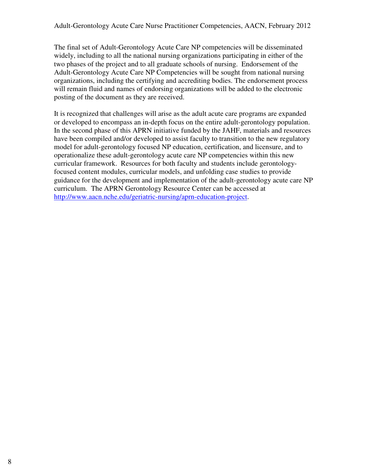The final set of Adult-Gerontology Acute Care NP competencies will be disseminated widely, including to all the national nursing organizations participating in either of the two phases of the project and to all graduate schools of nursing. Endorsement of the Adult-Gerontology Acute Care NP Competencies will be sought from national nursing organizations, including the certifying and accrediting bodies. The endorsement process will remain fluid and names of endorsing organizations will be added to the electronic posting of the document as they are received.

It is recognized that challenges will arise as the adult acute care programs are expanded or developed to encompass an in-depth focus on the entire adult-gerontology population. In the second phase of this APRN initiative funded by the JAHF, materials and resources have been compiled and/or developed to assist faculty to transition to the new regulatory model for adult-gerontology focused NP education, certification, and licensure, and to operationalize these adult-gerontology acute care NP competencies within this new curricular framework. Resources for both faculty and students include gerontologyfocused content modules, curricular models, and unfolding case studies to provide guidance for the development and implementation of the adult-gerontology acute care NP curriculum. The APRN Gerontology Resource Center can be accessed at http://www.aacn.nche.edu/geriatric-nursing/aprn-education-project.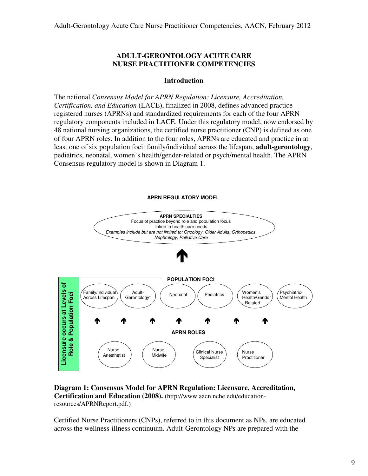## **ADULT-GERONTOLOGY ACUTE CARE NURSE PRACTITIONER COMPETENCIES**

## **Introduction**

The national *Consensus Model for APRN Regulation: Licensure, Accreditation, Certification, and Education* (LACE), finalized in 2008, defines advanced practice registered nurses (APRNs) and standardized requirements for each of the four APRN regulatory components included in LACE. Under this regulatory model, now endorsed by 48 national nursing organizations, the certified nurse practitioner (CNP) is defined as one of four APRN roles. In addition to the four roles, APRNs are educated and practice in at least one of six population foci: family/individual across the lifespan, **adult-gerontology**, pediatrics, neonatal, women's health/gender-related or psych/mental health. The APRN Consensus regulatory model is shown in Diagram 1.



#### **Diagram 1: Consensus Model for APRN Regulation: Licensure, Accreditation, Certification and Education (2008).** (http://www.aacn.nche.edu/educationresources/APRNReport.pdf.)

Certified Nurse Practitioners (CNPs), referred to in this document as NPs, are educated across the wellness-illness continuum. Adult-Gerontology NPs are prepared with the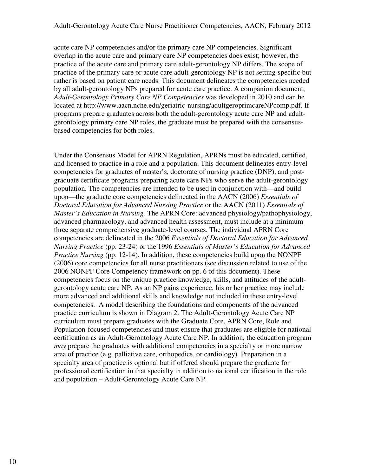acute care NP competencies and/or the primary care NP competencies. Significant overlap in the acute care and primary care NP competencies does exist; however, the practice of the acute care and primary care adult-gerontology NP differs. The scope of practice of the primary care or acute care adult-gerontology NP is not setting-specific but rather is based on patient care needs. This document delineates the competencies needed by all adult-gerontology NPs prepared for acute care practice. A companion document, *Adult-Gerontology Primary Care NP Competencies* was developed in 2010 and can be located at http://www.aacn.nche.edu/geriatric-nursing/adultgeroprimcareNPcomp.pdf. If programs prepare graduates across both the adult-gerontology acute care NP and adultgerontology primary care NP roles, the graduate must be prepared with the consensusbased competencies for both roles.

Under the Consensus Model for APRN Regulation, APRNs must be educated, certified, and licensed to practice in a role and a population. This document delineates entry-level competencies for graduates of master's, doctorate of nursing practice (DNP), and postgraduate certificate programs preparing acute care NPs who serve the adult-gerontology population. The competencies are intended to be used in conjunction with—and build upon—the graduate core competencies delineated in the AACN (2006) *Essentials of Doctoral Education for Advanced Nursing Practice* or the AACN (2011) *Essentials of Master's Education in Nursing.* The APRN Core: advanced physiology/pathophysiology, advanced pharmacology, and advanced health assessment, must include at a minimum three separate comprehensive graduate-level courses. The individual APRN Core competencies are delineated in the 2006 *Essentials of Doctoral Education for Advanced Nursing Practice* (pp. 23-24) or the 1996 *Essentials of Master's Education for Advanced Practice Nursing* (pp. 12-14). In addition, these competencies build upon the NONPF (2006) core competencies for all nurse practitioners (see discussion related to use of the 2006 NONPF Core Competency framework on pp. 6 of this document). These competencies focus on the unique practice knowledge, skills, and attitudes of the adultgerontology acute care NP. As an NP gains experience, his or her practice may include more advanced and additional skills and knowledge not included in these entry-level competencies. A model describing the foundations and components of the advanced practice curriculum is shown in Diagram 2. The Adult-Gerontology Acute Care NP curriculum must prepare graduates with the Graduate Core, APRN Core, Role and Population-focused competencies and must ensure that graduates are eligible for national certification as an Adult-Gerontology Acute Care NP. In addition, the education program *may* prepare the graduates with additional competencies in a specialty or more narrow area of practice (e.g. palliative care, orthopedics, or cardiology). Preparation in a specialty area of practice is optional but if offered should prepare the graduate for professional certification in that specialty in addition to national certification in the role and population – Adult-Gerontology Acute Care NP.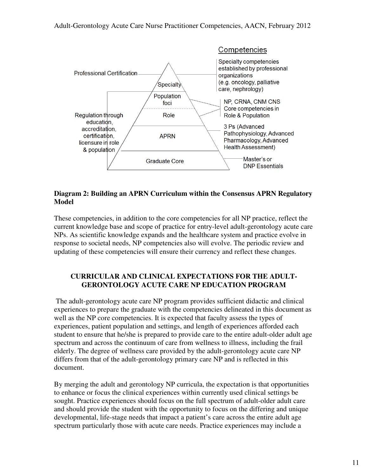

## **Diagram 2: Building an APRN Curriculum within the Consensus APRN Regulatory Model**

These competencies, in addition to the core competencies for all NP practice, reflect the current knowledge base and scope of practice for entry-level adult-gerontology acute care NPs. As scientific knowledge expands and the healthcare system and practice evolve in response to societal needs, NP competencies also will evolve. The periodic review and updating of these competencies will ensure their currency and reflect these changes.

## **CURRICULAR AND CLINICAL EXPECTATIONS FOR THE ADULT-GERONTOLOGY ACUTE CARE NP EDUCATION PROGRAM**

 The adult-gerontology acute care NP program provides sufficient didactic and clinical experiences to prepare the graduate with the competencies delineated in this document as well as the NP core competencies. It is expected that faculty assess the types of experiences, patient population and settings, and length of experiences afforded each student to ensure that he/she is prepared to provide care to the entire adult-older adult age spectrum and across the continuum of care from wellness to illness, including the frail elderly. The degree of wellness care provided by the adult-gerontology acute care NP differs from that of the adult-gerontology primary care NP and is reflected in this document.

By merging the adult and gerontology NP curricula, the expectation is that opportunities to enhance or focus the clinical experiences within currently used clinical settings be sought. Practice experiences should focus on the full spectrum of adult-older adult care and should provide the student with the opportunity to focus on the differing and unique developmental, life-stage needs that impact a patient's care across the entire adult age spectrum particularly those with acute care needs. Practice experiences may include a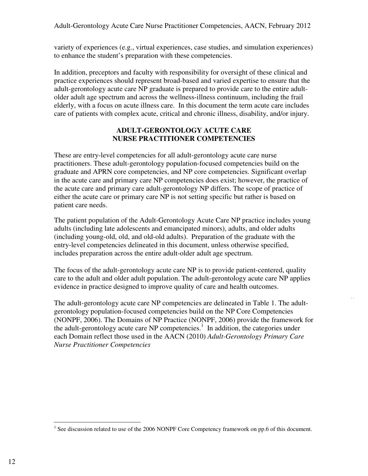variety of experiences (e.g., virtual experiences, case studies, and simulation experiences) to enhance the student's preparation with these competencies.

In addition, preceptors and faculty with responsibility for oversight of these clinical and practice experiences should represent broad-based and varied expertise to ensure that the adult-gerontology acute care NP graduate is prepared to provide care to the entire adultolder adult age spectrum and across the wellness-illness continuum, including the frail elderly, with a focus on acute illness care. In this document the term acute care includes care of patients with complex acute, critical and chronic illness, disability, and/or injury.

#### **ADULT-GERONTOLOGY ACUTE CARE NURSE PRACTITIONER COMPETENCIES**

These are entry-level competencies for all adult-gerontology acute care nurse practitioners. These adult-gerontology population-focused competencies build on the graduate and APRN core competencies, and NP core competencies. Significant overlap in the acute care and primary care NP competencies does exist; however, the practice of the acute care and primary care adult-gerontology NP differs. The scope of practice of either the acute care or primary care NP is not setting specific but rather is based on patient care needs.

The patient population of the Adult-Gerontology Acute Care NP practice includes young adults (including late adolescents and emancipated minors), adults, and older adults (including young-old, old, and old-old adults). Preparation of the graduate with the entry-level competencies delineated in this document, unless otherwise specified, includes preparation across the entire adult-older adult age spectrum.

The focus of the adult-gerontology acute care NP is to provide patient-centered, quality care to the adult and older adult population. The adult-gerontology acute care NP applies evidence in practice designed to improve quality of care and health outcomes.

1 1

The adult-gerontology acute care NP competencies are delineated in Table 1. The adultgerontology population-focused competencies build on the NP Core Competencies (NONPF, 2006). The Domains of NP Practice (NONPF, 2006) provide the framework for the adult-gerontology acute care NP competencies.<sup>1</sup> In addition, the categories under each Domain reflect those used in the AACN (2010) *Adult-Gerontology Primary Care Nurse Practitioner Competencies*

<sup>&</sup>lt;sup>1</sup> See discussion related to use of the 2006 NONPF Core Competency framework on pp.6 of this document.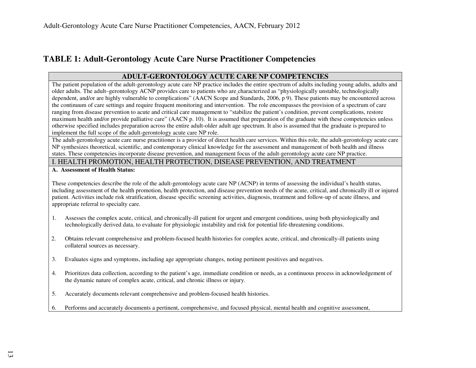# **TABLE 1: Adult-Gerontology Acute Care Nurse Practitioner Competencies**

#### **ADULT-GERONTOLOGY ACUTE CARE NP COMPETENCIES**

 The patient population of the adult-gerontology acute care NP practice includes the entire spectrum of adults including young adults, adults and older adults. The adult–gerontology ACNP provides care to patients who are characterized as "physiologically unstable, technologically dependent, and/or are highly vulnerable to complications" (AACN Scope and Standards, 2006, p 9). These patients may be encountered across the continuum of care settings and require frequent monitoring and intervention. The role encompasses the provision of a spectrum of care ranging from disease prevention to acute and critical care management to "stabilize the patient's condition, prevent complications, restore maximum health and/or provide palliative care" (AACN p. 10). It is assumed that preparation of the graduate with these competencies unless otherwise specified includes preparation across the entire adult-older adult age spectrum. It also is assumed that the graduate is prepared to implement the full scope of the adult-gerontology acute care NP role.

 The adult-gerontology acute care nurse practitioner is a provider of direct health care services. Within this role, the adult-gerontology acute care NP synthesizes theoretical, scientific, and contemporary clinical knowledge for the assessment and management of both health and illness states. These competencies incorporate disease prevention, and management focus of the adult-gerontology acute care NP practice.

#### I. HEALTH PROMOTION, HEALTH PROTECTION, DISEASE PREVENTION, AND TREATMENT

#### **A. Assessment of Health Status:**

These competencies describe the role of the adult-gerontology acute care NP (ACNP) in terms of assessing the individual's health status, including assessment of the health promotion, health protection, and disease prevention needs of the acute, critical, and chronically ill or injured patient. Activities include risk stratification, disease specific screening activities, diagnosis, treatment and follow-up of acute illness, and appropriate referral to specialty care.

- 1. Assesses the complex acute, critical, and chronically-ill patient for urgent and emergent conditions, using both physiologically and technologically derived data, to evaluate for physiologic instability and risk for potential life-threatening conditions.
- 2. Obtains relevant comprehensive and problem-focused health histories for complex acute, critical, and chronically-ill patients using collateral sources as necessary.
- 3.Evaluates signs and symptoms, including age appropriate changes, noting pertinent positives and negatives.
- 4. Prioritizes data collection, according to the patient's age, immediate condition or needs, as a continuous process in acknowledgement of the dynamic nature of complex acute, critical, and chronic illness or injury.
- 5.Accurately documents relevant comprehensive and problem-focused health histories.
- 6.Performs and accurately documents a pertinent, comprehensive, and focused physical, mental health and cognitive assessment,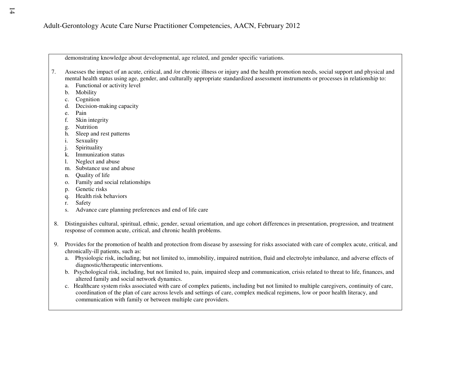demonstrating knowledge about developmental, age related, and gender specific variations.

- 7. Assesses the impact of an acute, critical, and /or chronic illness or injury and the health promotion needs, social support and physical and mental health status using age, gender, and culturally appropriate standardized assessment instruments or processes in relationship to:
	- a. Functional or activity level
	- b. Mobility
	- c.Cognition
	- d.Decision-making capacity
	- e.Pain
	- f.Skin integrity
	- g.Nutrition
	- h.Sleep and rest patterns
	- i.Sexuality
	- j.Spirituality
	- k. Immunization status
	- l.Neglect and abuse
	- m. Substance use and abuse
	- n.Quality of life
	- o.Family and social relationships
	- p.Genetic risks
	- q.Health risk behaviors
	- r.Safety
	- s.Advance care planning preferences and end of life care
- 8. Distinguishes cultural, spiritual, ethnic, gender, sexual orientation, and age cohort differences in presentation, progression, and treatment response of common acute, critical, and chronic health problems.
- 9. Provides for the promotion of health and protection from disease by assessing for risks associated with care of complex acute, critical, and chronically-ill patients, such as:
	- a. Physiologic risk, including, but not limited to, immobility, impaired nutrition, fluid and electrolyte imbalance, and adverse effects of diagnostic/therapeutic interventions.
	- b. Psychological risk, including, but not limited to, pain, impaired sleep and communication, crisis related to threat to life, finances, and altered family and social network dynamics.
	- c. Healthcare system risks associated with care of complex patients, including but not limited to multiple caregivers, continuity of care, coordination of the plan of care across levels and settings of care, complex medical regimens, low or poor health literacy, and communication with family or between multiple care providers.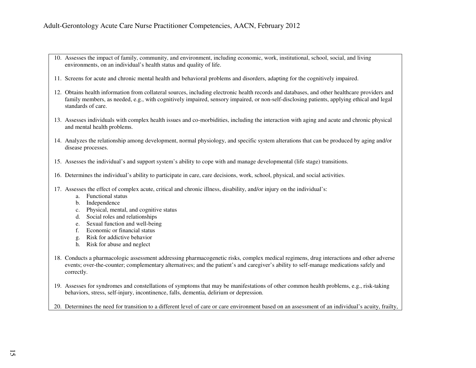- 10. Assesses the impact of family, community, and environment, including economic, work, institutional, school, social, and living environments, on an individual's health status and quality of life.
- 11. Screens for acute and chronic mental health and behavioral problems and disorders, adapting for the cognitively impaired.
- 12. Obtains health information from collateral sources, including electronic health records and databases, and other healthcare providers and family members, as needed, e.g., with cognitively impaired, sensory impaired, or non-self-disclosing patients, applying ethical and legal standards of care.
- 13. Assesses individuals with complex health issues and co-morbidities, including the interaction with aging and acute and chronic physical and mental health problems.
- 14. Analyzes the relationship among development, normal physiology, and specific system alterations that can be produced by aging and/or disease processes.
- 15. Assesses the individual's and support system's ability to cope with and manage developmental (life stage) transitions.
- 16. Determines the individual's ability to participate in care, care decisions, work, school, physical, and social activities.
- 17. Assesses the effect of complex acute, critical and chronic illness, disability, and/or injury on the individual's:
	- a. Functional status
	- b. Independence
	- c. Physical, mental, and cognitive status
	- d.Social roles and relationships
	- e.Sexual function and well-being
	- f.Economic or financial status
	- g.Risk for addictive behavior
	- h. Risk for abuse and neglect
- 18. Conducts a pharmacologic assessment addressing pharmacogenetic risks, complex medical regimens, drug interactions and other adverse events; over-the-counter; complementary alternatives; and the patient's and caregiver's ability to self-manage medications safely and correctly.
- 19. Assesses for syndromes and constellations of symptoms that may be manifestations of other common health problems, e.g., risk-taking behaviors, stress, self-injury, incontinence, falls, dementia, delirium or depression.
- 20. Determines the need for transition to a different level of care or care environment based on an assessment of an individual's acuity, frailty,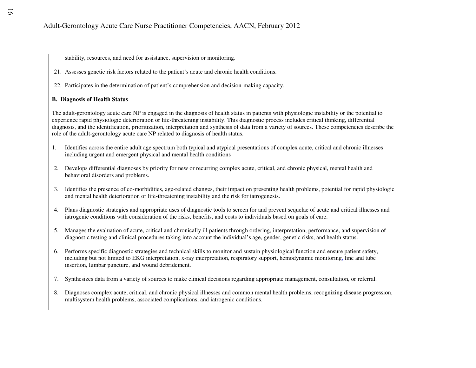stability, resources, and need for assistance, supervision or monitoring.

- 21. Assesses genetic risk factors related to the patient's acute and chronic health conditions.
- 22. Participates in the determination of patient's comprehension and decision-making capacity.

#### **B. Diagnosis of Health Status**

The adult-gerontology acute care NP is engaged in the diagnosis of health status in patients with physiologic instability or the potential to experience rapid physiologic deterioration or life-threatening instability. This diagnostic process includes critical thinking, differential diagnosis, and the identification, prioritization, interpretation and synthesis of data from a variety of sources. These competencies describe the role of the adult-gerontology acute care NP related to diagnosis of health status.

- 1. Identifies across the entire adult age spectrum both typical and atypical presentations of complex acute, critical and chronic illnesses including urgent and emergent physical and mental health conditions
- 2. Develops differential diagnoses by priority for new or recurring complex acute, critical, and chronic physical, mental health and behavioral disorders and problems.
- 3. Identifies the presence of co-morbidities, age-related changes, their impact on presenting health problems, potential for rapid physiologic and mental health deterioration or life-threatening instability and the risk for iatrogenesis.
- 4. Plans diagnostic strategies and appropriate uses of diagnostic tools to screen for and prevent sequelae of acute and critical illnesses and iatrogenic conditions with consideration of the risks, benefits, and costs to individuals based on goals of care.
- 5. Manages the evaluation of acute, critical and chronically ill patients through ordering, interpretation, performance, and supervision of diagnostic testing and clinical procedures taking into account the individual's age, gender, genetic risks, and health status.
- 6. Performs specific diagnostic strategies and technical skills to monitor and sustain physiological function and ensure patient safety, including but not limited to EKG interpretation, x-ray interpretation, respiratory support, hemodynamic monitoring, line and tube insertion, lumbar puncture, and wound debridement.
- 7.Synthesizes data from a variety of sources to make clinical decisions regarding appropriate management, consultation, or referral.
- 8. Diagnoses complex acute, critical, and chronic physical illnesses and common mental health problems, recognizing disease progression, multisystem health problems, associated complications, and iatrogenic conditions.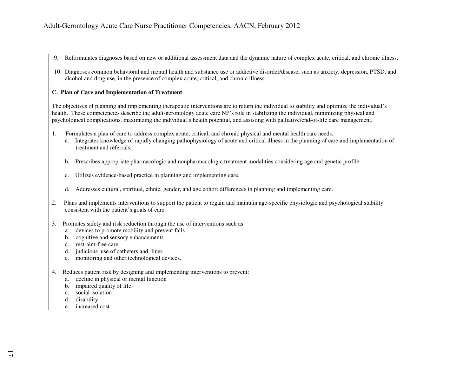- 9.Reformulates diagnoses based on new or additional assessment data and the dynamic nature of complex acute, critical, and chronic illness.
- 10. Diagnoses common behavioral and mental health and substance use or addictive disorder/disease, such as anxiety, depression, PTSD, and alcohol and drug use, in the presence of complex acute, critical, and chronic illness.

#### **C. Plan of Care and Implementation of Treatment**

The objectives of planning and implementing therapeutic interventions are to return the individual to stability and optimize the individual's health. These competencies describe the adult-gerontology acute care NP's role in stabilizing the individual, minimizing physical and psychological complications, maximizing the individual's health potential, and assisting with palliative/end-of-life care management.

- 1. Formulates a plan of care to address complex acute, critical, and chronic physical and mental health care needs.
	- a. Integrates knowledge of rapidly changing pathophysiology of acute and critical illness in the planning of care and implementation of treatment and referrals.
	- b. Prescribes appropriate pharmacologic and nonpharmacologic treatment modalities considering age and genetic profile.
	- c. Utilizes evidence-based practice in planning and implementing care.
	- d. Addresses cultural, spiritual, ethnic, gender, and age cohort differences in planning and implementing care.
- 2. Plans and implements interventions to support the patient to regain and maintain age-specific physiologic and psychological stability consistent with the patient's goals of care.
- 3. Promotes safety and risk reduction through the use of interventions such as:
	- a.devices to promote mobility and prevent falls
	- b. cognitive and sensory enhancements
	- c.restraint-free care
	- d.judicious use of catheters and lines
	- e.monitoring and other technological devices.
- 4. Reduces patient risk by designing and implementing interventions to prevent:
	- a. decline in physical or mental function
	- b. impaired quality of life
	- c.social isolation
	- d.disability
	- e. increased cost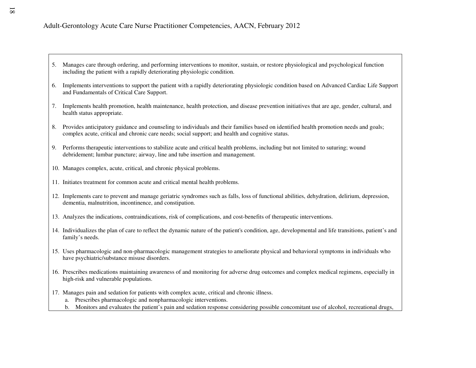- 5. Manages care through ordering, and performing interventions to monitor, sustain, or restore physiological and psychological function including the patient with a rapidly deteriorating physiologic condition.
- 6. Implements interventions to support the patient with a rapidly deteriorating physiologic condition based on Advanced Cardiac Life Support and Fundamentals of Critical Care Support.
- 7. Implements health promotion, health maintenance, health protection, and disease prevention initiatives that are age, gender, cultural, and health status appropriate.
- 8. Provides anticipatory guidance and counseling to individuals and their families based on identified health promotion needs and goals; complex acute, critical and chronic care needs; social support; and health and cognitive status.
- 9. Performs therapeutic interventions to stabilize acute and critical health problems, including but not limited to suturing; wound debridement; lumbar puncture; airway, line and tube insertion and management.
- 10. Manages complex, acute, critical, and chronic physical problems.
- 11. Initiates treatment for common acute and critical mental health problems.
- 12. Implements care to prevent and manage geriatric syndromes such as falls, loss of functional abilities, dehydration, delirium, depression, dementia, malnutrition, incontinence, and constipation.
- 13. Analyzes the indications, contraindications, risk of complications, and cost-benefits of therapeutic interventions.
- 14. Individualizes the plan of care to reflect the dynamic nature of the patient's condition, age, developmental and life transitions, patient's and family's needs.
- 15. Uses pharmacologic and non-pharmacologic management strategies to ameliorate physical and behavioral symptoms in individuals who have psychiatric/substance misuse disorders.
- 16. Prescribes medications maintaining awareness of and monitoring for adverse drug outcomes and complex medical regimens, especially in high-risk and vulnerable populations.
- 17. Manages pain and sedation for patients with complex acute, critical and chronic illness.
	- a. Prescribes pharmacologic and nonpharmacologic interventions.
	- b. Monitors and evaluates the patient's pain and sedation response considering possible concomitant use of alcohol, recreational drugs,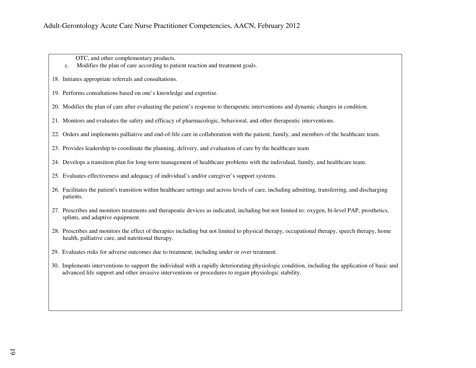OTC, and other complementary products.

- c. Modifies the plan of care according to patient reaction and treatment goals.
- 18. Initiates appropriate referrals and consultations.
- 19. Performs consultations based on one's knowledge and expertise.
- 20. Modifies the plan of care after evaluating the patient's response to therapeutic interventions and dynamic changes in condition.
- 21. Monitors and evaluates the safety and efficacy of pharmacologic, behavioral, and other therapeutic interventions.
- 22. Orders and implements palliative and end-of-life care in collaboration with the patient, family, and members of the healthcare team.
- 23. Provides leadership to coordinate the planning, delivery, and evaluation of care by the healthcare team
- 24. Develops a transition plan for long-term management of healthcare problems with the individual, family, and healthcare team.
- 25. Evaluates effectiveness and adequacy of individual's and/or caregiver's support systems.
- 26. Facilitates the patient's transition within healthcare settings and across levels of care, including admitting, transferring, and discharging patients.
- 27. Prescribes and monitors treatments and therapeutic devices as indicated, including but not limited to: oxygen, bi-level PAP, prosthetics, splints, and adaptive equipment.
- 28. Prescribes and monitors the effect of therapies including but not limited to physical therapy, occupational therapy, speech therapy, home health, palliative care, and nutritional therapy.
- 29. Evaluates risks for adverse outcomes due to treatment, including under or over treatment.
- 30. Implements interventions to support the individual with a rapidly deteriorating physiologic condition, including the application of basic and advanced life support and other invasive interventions or procedures to regain physiologic stability.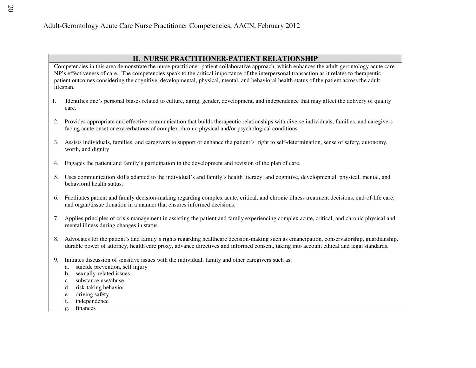#### **II. NURSE PRACTITIONER-PATIENT RELATIONSHIP**

Competencies in this area demonstrate the nurse practitioner-patient collaborative approach, which enhances the adult-gerontology acute care NP's effectiveness of care. The competencies speak to the critical importance of the interpersonal transaction as it relates to therapeutic patient outcomes considering the cognitive, developmental, physical, mental, and behavioral health status of the patient across the adult lifespan.

- 1. Identifies one's personal biases related to culture, aging, gender, development, and independence that may affect the delivery of quality care.
- 2. Provides appropriate and effective communication that builds therapeutic relationships with diverse individuals, families, and caregivers facing acute onset or exacerbations of complex chronic physical and/or psychological conditions.
- 3. Assists individuals, families, and caregivers to support or enhance the patient's right to self-determination, sense of safety, autonomy, worth, and dignity
- 4. Engages the patient and family's participation in the development and revision of the plan of care.
- 5. Uses communication skills adapted to the individual's and family's health literacy; and cognitive, developmental, physical, mental, and behavioral health status.
- 6. Facilitates patient and family decision-making regarding complex acute, critical, and chronic illness treatment decisions, end-of-life care, and organ/tissue donation in a manner that ensures informed decisions.
- 7. Applies principles of crisis management in assisting the patient and family experiencing complex acute, critical, and chronic physical and mental illness during changes in status.
- 8. Advocates for the patient's and family's rights regarding healthcare decision-making such as emancipation, conservatorship, guardianship, durable power of attorney, health care proxy, advance directives and informed consent, taking into account ethical and legal standards.
- 9. Initiates discussion of sensitive issues with the individual, family and other caregivers such as:
	- a.suicide prevention, self injury
	- b.sexually-related issues
	- c.substance use/abuse
	- d.risk-taking behavior
	- e.driving safety
	- f.independence
	- g.finances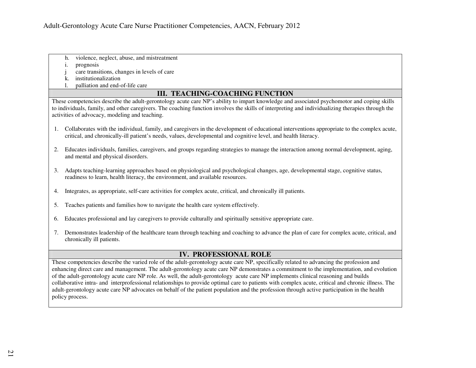- h.violence, neglect, abuse, and mistreatment
- i. prognosis
- j care transitions, changes in levels of care
- k. institutionalization
- l. palliation and end-of-life care

#### **III. TEACHING-COACHING FUNCTION**

 These competencies describe the adult-gerontology acute care NP's ability to impart knowledge and associated psychomotor and coping skills to individuals, family, and other caregivers. The coaching function involves the skills of interpreting and individualizing therapies through the activities of advocacy, modeling and teaching.

- 1. Collaborates with the individual, family, and caregivers in the development of educational interventions appropriate to the complex acute, critical, and chronically-ill patient's needs, values, developmental and cognitive level, and health literacy.
- 2. Educates individuals, families, caregivers, and groups regarding strategies to manage the interaction among normal development, aging, and mental and physical disorders.
- 3. Adapts teaching-learning approaches based on physiological and psychological changes, age, developmental stage, cognitive status, readiness to learn, health literacy, the environment, and available resources.
- 4.Integrates, as appropriate, self-care activities for complex acute, critical, and chronically ill patients.
- 5.Teaches patients and families how to navigate the health care system effectively.
- 6. Educates professional and lay caregivers to provide culturally and spiritually sensitive appropriate care.
- 7. Demonstrates leadership of the healthcare team through teaching and coaching to advance the plan of care for complex acute, critical, and chronically ill patients.

#### **IV. PROFESSIONAL ROLE**

 These competencies describe the varied role of the adult-gerontology acute care NP, specifically related to advancing the profession and enhancing direct care and management. The adult-gerontology acute care NP demonstrates a commitment to the implementation, and evolution of the adult-gerontology acute care NP role. As well, the adult-gerontology acute care NP implements clinical reasoning and builds collaborative intra- and interprofessional relationships to provide optimal care to patients with complex acute, critical and chronic illness. The adult-gerontology acute care NP advocates on behalf of the patient population and the profession through active participation in the health policy process.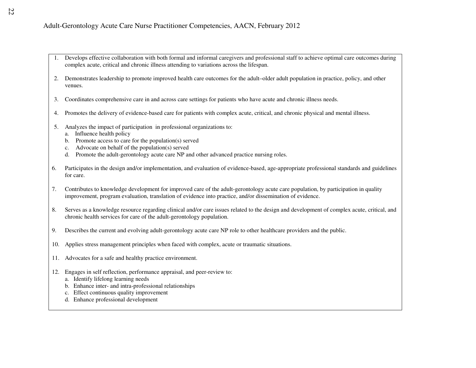#### Adult-Gerontology Acute Care Nurse Practitioner Competencies, AACN, February 2012

- 1. Develops effective collaboration with both formal and informal caregivers and professional staff to achieve optimal care outcomes during complex acute, critical and chronic illness attending to variations across the lifespan.
- 2. Demonstrates leadership to promote improved health care outcomes for the adult–older adult population in practice, policy, and other venues.
- 3.Coordinates comprehensive care in and across care settings for patients who have acute and chronic illness needs.
- 4. Promotes the delivery of evidence-based care for patients with complex acute, critical, and chronic physical and mental illness.
- 5. Analyzes the impact of participation in professional organizations to:
	- a. Influence health policy
	- b. Promote access to care for the population(s) served
	- c.Advocate on behalf of the population(s) served
	- d. Promote the adult-gerontology acute care NP and other advanced practice nursing roles.
- 6. Participates in the design and/or implementation, and evaluation of evidence-based, age-appropriate professional standards and guidelines for care.
- 7. Contributes to knowledge development for improved care of the adult-gerontology acute care population, by participation in quality improvement, program evaluation, translation of evidence into practice, and/or dissemination of evidence.
- 8. Serves as a knowledge resource regarding clinical and/or care issues related to the design and development of complex acute, critical, and chronic health services for care of the adult-gerontology population.
- 9.Describes the current and evolving adult-gerontology acute care NP role to other healthcare providers and the public.
- 10.Applies stress management principles when faced with complex, acute or traumatic situations.
- 11. Advocates for a safe and healthy practice environment.
- 12. Engages in self reflection, performance appraisal, and peer-review to:
	- a. Identify lifelong learning needs
	- b. Enhance inter- and intra-professional relationships
	- c. Effect continuous quality improvement
	- d. Enhance professional development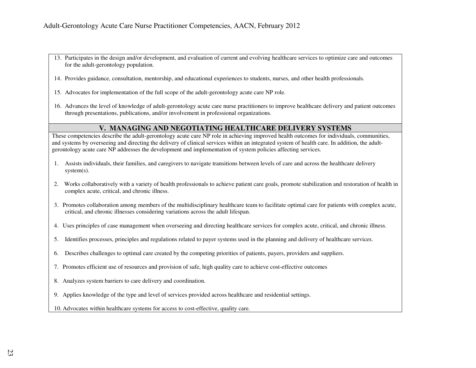- 13. Participates in the design and/or development, and evaluation of current and evolving healthcare services to optimize care and outcomes for the adult-gerontology population.
- 14. Provides guidance, consultation, mentorship, and educational experiences to students, nurses, and other health professionals.
- 15. Advocates for implementation of the full scope of the adult-gerontology acute care NP role.
- 16. Advances the level of knowledge of adult-gerontology acute care nurse practitioners to improve healthcare delivery and patient outcomes through presentations, publications, and/or involvement in professional organizations.

#### **V. MANAGING AND NEGOTIATING HEALTHCARE DELIVERY SYSTEMS**

These competencies describe the adult-gerontology acute care NP role in achieving improved health outcomes for individuals, communities, and systems by overseeing and directing the delivery of clinical services within an integrated system of health care. In addition, the adultgerontology acute care NP addresses the development and implementation of system policies affecting services.

- 1. Assists individuals, their families, and caregivers to navigate transitions between levels of care and across the healthcare delivery system(s).
- 2. Works collaboratively with a variety of health professionals to achieve patient care goals, promote stabilization and restoration of health in complex acute, critical, and chronic illness.
- 3. Promotes collaboration among members of the multidisciplinary healthcare team to facilitate optimal care for patients with complex acute, critical, and chronic illnesses considering variations across the adult lifespan.
- 4. Uses principles of case management when overseeing and directing healthcare services for complex acute, critical, and chronic illness.
- 5.Identifies processes, principles and regulations related to payer systems used in the planning and delivery of healthcare services.
- 6.Describes challenges to optimal care created by the competing priorities of patients, payers, providers and suppliers.
- 7. Promotes efficient use of resources and provision of safe, high quality care to achieve cost-effective outcomes
- 8. Analyzes system barriers to care delivery and coordination.
- 9. Applies knowledge of the type and level of services provided across healthcare and residential settings.
- 10. Advocates within healthcare systems for access to cost-effective, quality care.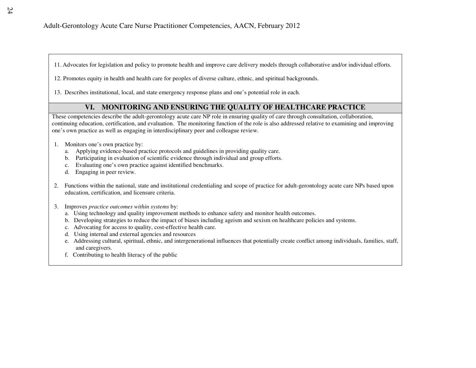11. Advocates for legislation and policy to promote health and improve care delivery models through collaborative and/or individual efforts.

12. Promotes equity in health and health care for peoples of diverse culture, ethnic, and spiritual backgrounds.

13. Describes institutional, local, and state emergency response plans and one's potential role in each.

## **VI. MONITORING AND ENSURING THE QUALITY OF HEALTHCARE PRACTICE**

These competencies describe the adult-gerontology acute care NP role in ensuring quality of care through consultation, collaboration, continuing education, certification, and evaluation. The monitoring function of the role is also addressed relative to examining and improving one's own practice as well as engaging in interdisciplinary peer and colleague review.

- 1. Monitors one's own practice by:
	- a. Applying evidence-based practice protocols and guidelines in providing quality care.
	- b. Participating in evaluation of scientific evidence through individual and group efforts.
	- c. Evaluating one's own practice against identified benchmarks.
	- d. Engaging in peer review.
- 2. Functions within the national, state and institutional credentialing and scope of practice for adult-gerontology acute care NPs based upon education, certification, and licensure criteria.
- 3. Improves *practice outcomes within systems* by:
	- a. Using technology and quality improvement methods to enhance safety and monitor health outcomes.
	- b. Developing strategies to reduce the impact of biases including ageism and sexism on healthcare policies and systems.
	- c. Advocating for access to quality, cost-effective health care.
	- d. Using internal and external agencies and resources
	- e. Addressing cultural, spiritual, ethnic, and intergenerational influences that potentially create conflict among individuals, families, staff, and caregivers.
	- f. Contributing to health literacy of the public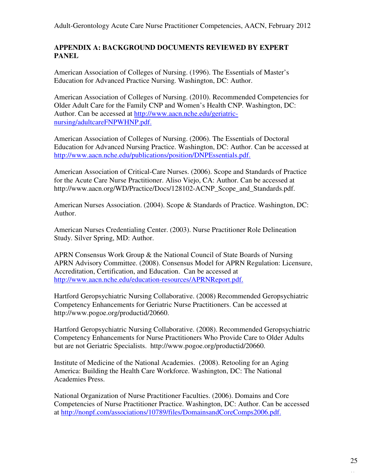## **APPENDIX A: BACKGROUND DOCUMENTS REVIEWED BY EXPERT PANEL**

American Association of Colleges of Nursing. (1996). The Essentials of Master's Education for Advanced Practice Nursing. Washington, DC: Author.

American Association of Colleges of Nursing. (2010). Recommended Competencies for Older Adult Care for the Family CNP and Women's Health CNP. Washington, DC: Author. Can be accessed at http://www.aacn.nche.edu/geriatricnursing/adultcareFNPWHNP.pdf.

American Association of Colleges of Nursing. (2006). The Essentials of Doctoral Education for Advanced Nursing Practice. Washington, DC: Author. Can be accessed at http://www.aacn.nche.edu/publications/position/DNPEssentials.pdf.

American Association of Critical-Care Nurses. (2006). Scope and Standards of Practice for the Acute Care Nurse Practitioner. Aliso Viejo, CA: Author. Can be accessed at http://www.aacn.org/WD/Practice/Docs/128102-ACNP\_Scope\_and\_Standards.pdf.

American Nurses Association. (2004). Scope & Standards of Practice. Washington, DC: Author.

American Nurses Credentialing Center. (2003). Nurse Practitioner Role Delineation Study. Silver Spring, MD: Author.

APRN Consensus Work Group & the National Council of State Boards of Nursing APRN Advisory Committee. (2008). Consensus Model for APRN Regulation: Licensure, Accreditation, Certification, and Education. Can be accessed at http://www.aacn.nche.edu/education-resources/APRNReport.pdf.

Hartford Geropsychiatric Nursing Collaborative. (2008) Recommended Geropsychiatric Competency Enhancements for Geriatric Nurse Practitioners. Can be accessed at http://www.pogoe.org/productid/20660.

Hartford Geropsychiatric Nursing Collaborative. (2008). Recommended Geropsychiatric Competency Enhancements for Nurse Practitioners Who Provide Care to Older Adults but are not Geriatric Specialists. http://www.pogoe.org/productid/20660.

Institute of Medicine of the National Academies. (2008). Retooling for an Aging America: Building the Health Care Workforce. Washington, DC: The National Academies Press.

National Organization of Nurse Practitioner Faculties. (2006). Domains and Core Competencies of Nurse Practitioner Practice. Washington, DC: Author. Can be accessed at http://nonpf.com/associations/10789/files/DomainsandCoreComps2006.pdf.